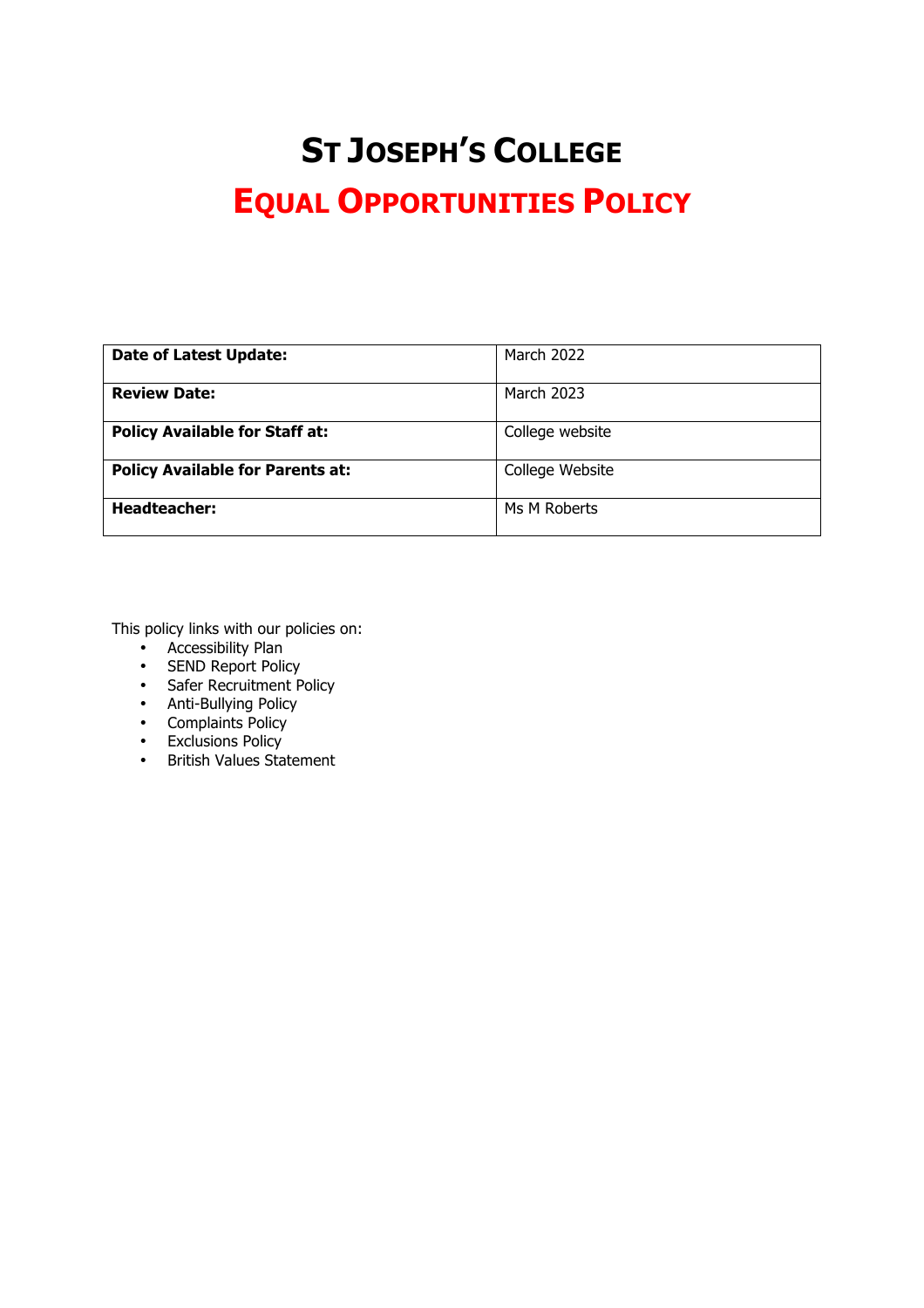# **ST JOSEPH'S COLLEGE EQUAL OPPORTUNITIES POLICY**

| <b>Date of Latest Update:</b>           | <b>March 2022</b> |
|-----------------------------------------|-------------------|
|                                         |                   |
| <b>Review Date:</b>                     | March 2023        |
| <b>Policy Available for Staff at:</b>   | College website   |
| <b>Policy Available for Parents at:</b> | College Website   |
| <b>Headteacher:</b>                     | Ms M Roberts      |

This policy links with our policies on:

- Accessibility Plan
- SEND Report Policy
- Safer Recruitment Policy
- Anti-Bullying Policy
- Complaints Policy
- Exclusions Policy<br>• British Values Sta
- British Values Statement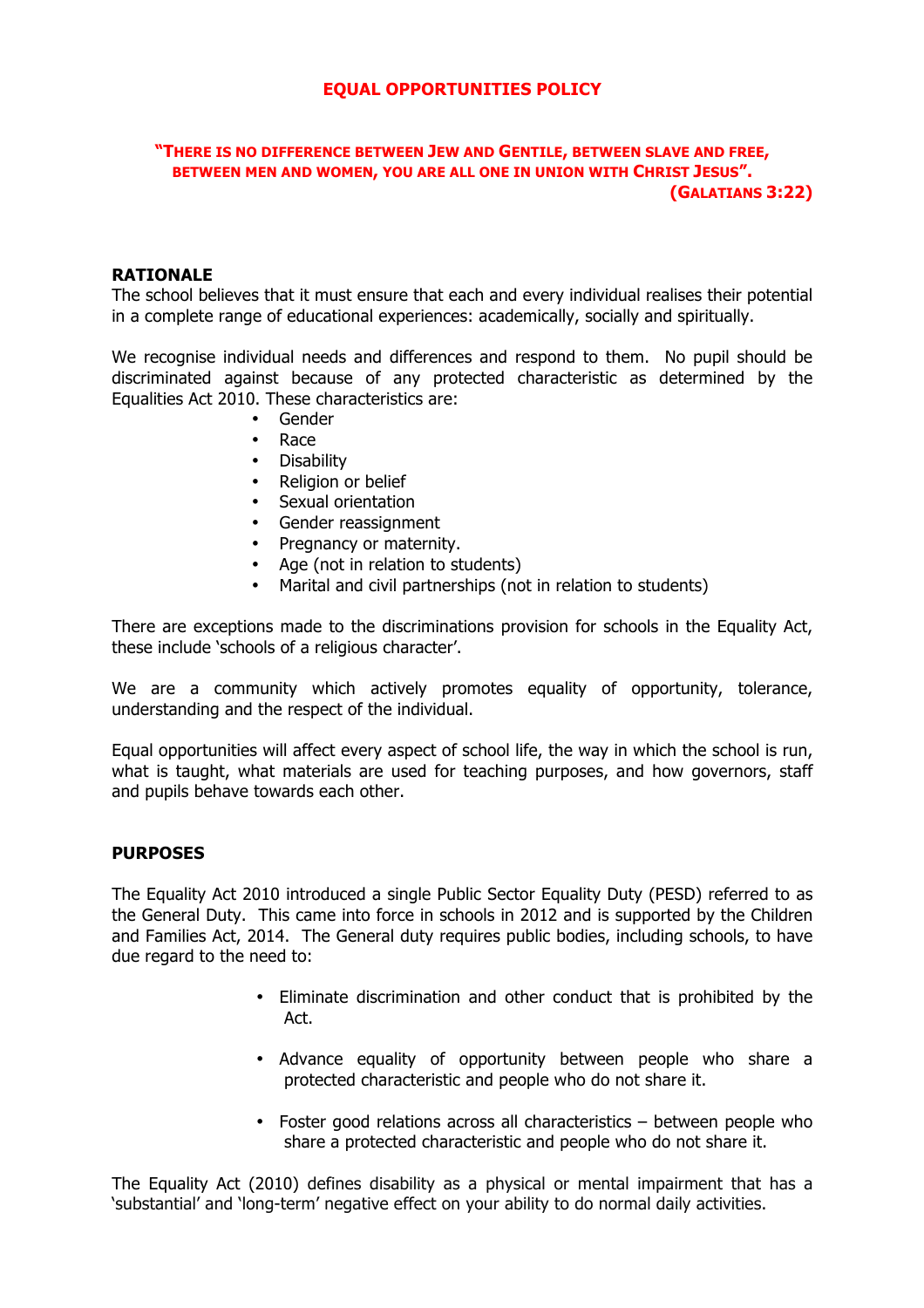# **EQUAL OPPORTUNITIES POLICY**

## **"THERE IS NO DIFFERENCE BETWEEN JEW AND GENTILE, BETWEEN SLAVE AND FREE, BETWEEN MEN AND WOMEN, YOU ARE ALL ONE IN UNION WITH CHRIST JESUS". (GALATIANS 3:22)**

## **RATIONALE**

The school believes that it must ensure that each and every individual realises their potential in a complete range of educational experiences: academically, socially and spiritually.

We recognise individual needs and differences and respond to them. No pupil should be discriminated against because of any protected characteristic as determined by the Equalities Act 2010. These characteristics are:

- Gender
- Race
- Disability<br>• Religion of
- Religion or belief
- Sexual orientation
- Gender reassignment
- Pregnancy or maternity.
- Age (not in relation to students)
- Marital and civil partnerships (not in relation to students)

There are exceptions made to the discriminations provision for schools in the Equality Act, these include 'schools of a religious character'.

We are a community which actively promotes equality of opportunity, tolerance, understanding and the respect of the individual.

Equal opportunities will affect every aspect of school life, the way in which the school is run, what is taught, what materials are used for teaching purposes, and how governors, staff and pupils behave towards each other.

# **PURPOSES**

The Equality Act 2010 introduced a single Public Sector Equality Duty (PESD) referred to as the General Duty. This came into force in schools in 2012 and is supported by the Children and Families Act, 2014. The General duty requires public bodies, including schools, to have due regard to the need to:

- Eliminate discrimination and other conduct that is prohibited by the Act.
- Advance equality of opportunity between people who share a protected characteristic and people who do not share it.
- Foster good relations across all characteristics between people who share a protected characteristic and people who do not share it.

The Equality Act (2010) defines disability as a physical or mental impairment that has a 'substantial' and 'long-term' negative effect on your ability to do normal daily activities.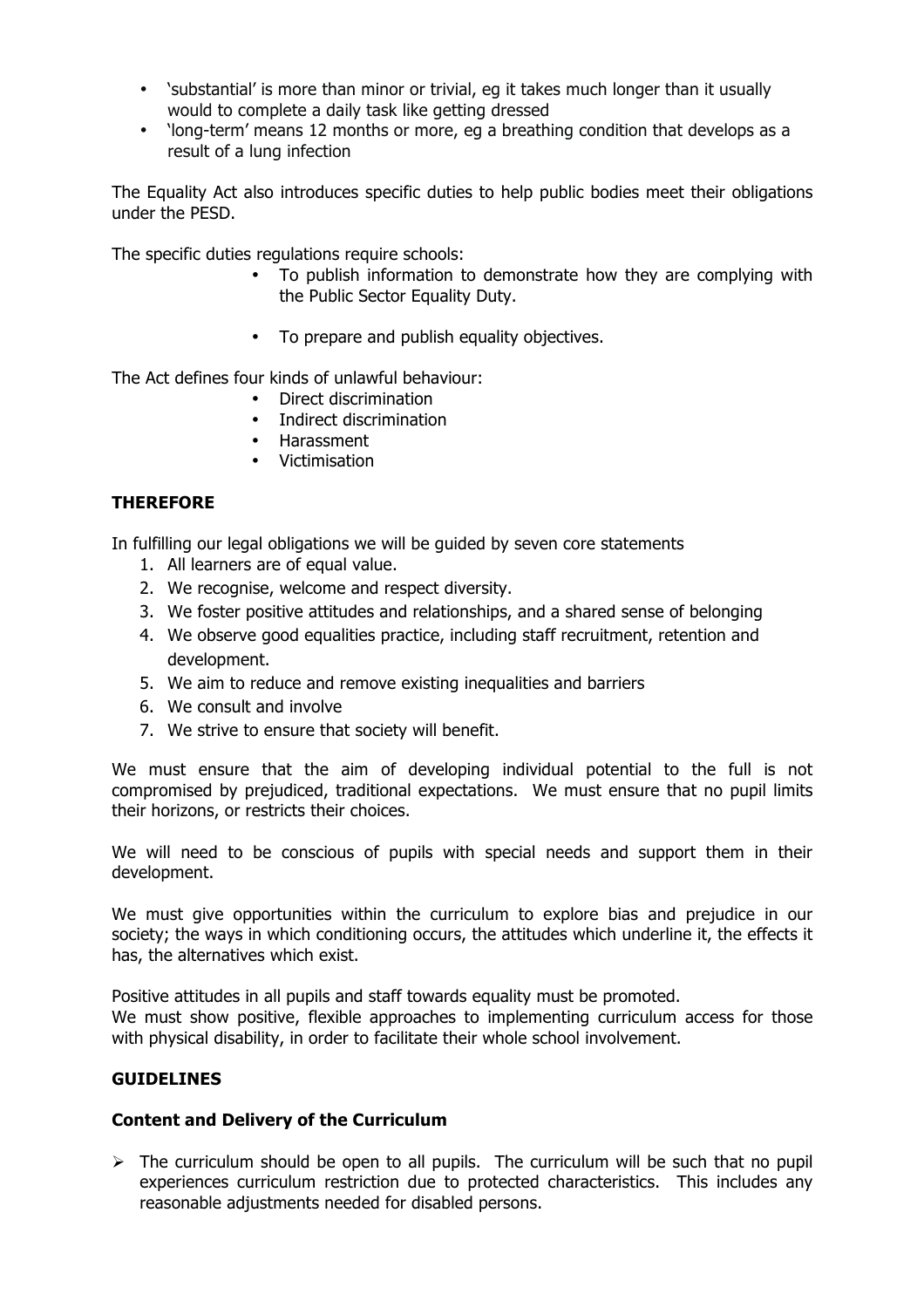- 'substantial' is more than minor or trivial, eg it takes much longer than it usually would to complete a daily task like getting dressed
- 'long-term' means 12 months or more, eg a breathing condition that develops as a result of a lung infection

The Equality Act also introduces specific duties to help public bodies meet their obligations under the PESD.

The specific duties regulations require schools:

- To publish information to demonstrate how they are complying with the Public Sector Equality Duty.
- To prepare and publish equality objectives.

The Act defines four kinds of unlawful behaviour:

- Direct discrimination
- Indirect discrimination
- Harassment
- Victimisation

# **THEREFORE**

In fulfilling our legal obligations we will be guided by seven core statements

- 1. All learners are of equal value.
- 2. We recognise, welcome and respect diversity.
- 3. We foster positive attitudes and relationships, and a shared sense of belonging
- 4. We observe good equalities practice, including staff recruitment, retention and development.
- 5. We aim to reduce and remove existing inequalities and barriers
- 6. We consult and involve
- 7. We strive to ensure that society will benefit.

We must ensure that the aim of developing individual potential to the full is not compromised by prejudiced, traditional expectations. We must ensure that no pupil limits their horizons, or restricts their choices.

We will need to be conscious of pupils with special needs and support them in their development.

We must give opportunities within the curriculum to explore bias and prejudice in our society; the ways in which conditioning occurs, the attitudes which underline it, the effects it has, the alternatives which exist.

Positive attitudes in all pupils and staff towards equality must be promoted.

We must show positive, flexible approaches to implementing curriculum access for those with physical disability, in order to facilitate their whole school involvement.

# **GUIDELINES**

# **Content and Delivery of the Curriculum**

 $\triangleright$  The curriculum should be open to all pupils. The curriculum will be such that no pupil experiences curriculum restriction due to protected characteristics. This includes any reasonable adjustments needed for disabled persons.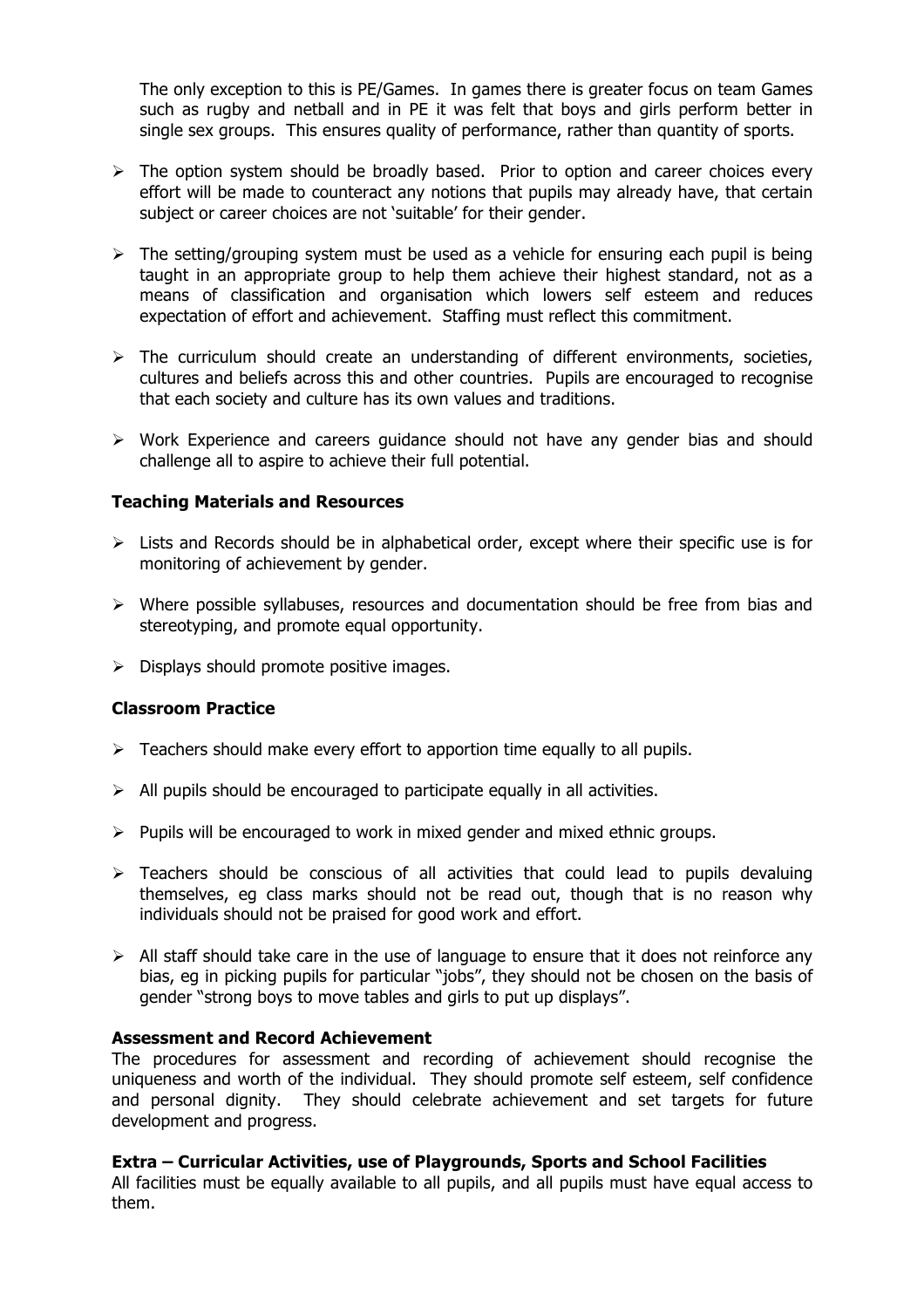The only exception to this is PE/Games. In games there is greater focus on team Games such as rugby and netball and in PE it was felt that boys and girls perform better in single sex groups. This ensures quality of performance, rather than quantity of sports.

- $\triangleright$  The option system should be broadly based. Prior to option and career choices every effort will be made to counteract any notions that pupils may already have, that certain subject or career choices are not 'suitable' for their gender.
- $\triangleright$  The setting/grouping system must be used as a vehicle for ensuring each pupil is being taught in an appropriate group to help them achieve their highest standard, not as a means of classification and organisation which lowers self esteem and reduces expectation of effort and achievement. Staffing must reflect this commitment.
- $\triangleright$  The curriculum should create an understanding of different environments, societies, cultures and beliefs across this and other countries. Pupils are encouraged to recognise that each society and culture has its own values and traditions.
- $\triangleright$  Work Experience and careers quidance should not have any gender bias and should challenge all to aspire to achieve their full potential.

## **Teaching Materials and Resources**

- $\triangleright$  Lists and Records should be in alphabetical order, except where their specific use is for monitoring of achievement by gender.
- $\triangleright$  Where possible syllabuses, resources and documentation should be free from bias and stereotyping, and promote equal opportunity.
- $\triangleright$  Displays should promote positive images.

#### **Classroom Practice**

- $\triangleright$  Teachers should make every effort to apportion time equally to all pupils.
- $\triangleright$  All pupils should be encouraged to participate equally in all activities.
- $\triangleright$  Pupils will be encouraged to work in mixed gender and mixed ethnic groups.
- $\triangleright$  Teachers should be conscious of all activities that could lead to pupils devaluing themselves, eg class marks should not be read out, though that is no reason why individuals should not be praised for good work and effort.
- $\triangleright$  All staff should take care in the use of language to ensure that it does not reinforce any bias, eg in picking pupils for particular "jobs", they should not be chosen on the basis of gender "strong boys to move tables and girls to put up displays".

#### **Assessment and Record Achievement**

The procedures for assessment and recording of achievement should recognise the uniqueness and worth of the individual. They should promote self esteem, self confidence and personal dignity. They should celebrate achievement and set targets for future development and progress.

#### **Extra – Curricular Activities, use of Playgrounds, Sports and School Facilities**

All facilities must be equally available to all pupils, and all pupils must have equal access to them.